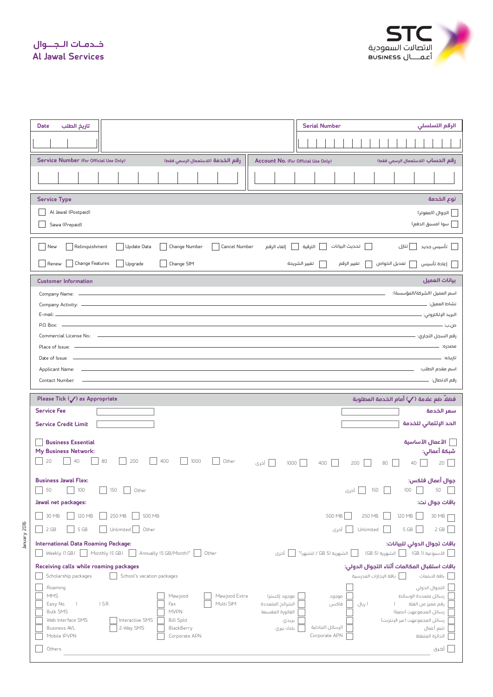**Al Jawal Services خـدمـات الـجــوال**



| تاريخ الطلب<br><b>Date</b>                                                                                                                    | <b>Serial Number</b><br>الرقم التسلسلي                                                                           |                                                      |  |  |  |  |  |  |  |
|-----------------------------------------------------------------------------------------------------------------------------------------------|------------------------------------------------------------------------------------------------------------------|------------------------------------------------------|--|--|--|--|--|--|--|
|                                                                                                                                               |                                                                                                                  |                                                      |  |  |  |  |  |  |  |
| Service Number (For Official Use Only)<br>رقم الخدمة (للاستعمال الرسمى فقط)                                                                   | رقم الحساب (للاستعمال الرسمى فقط)                                                                                |                                                      |  |  |  |  |  |  |  |
|                                                                                                                                               |                                                                                                                  |                                                      |  |  |  |  |  |  |  |
| <b>Service Type</b><br>نوع الخدمة                                                                                                             |                                                                                                                  |                                                      |  |  |  |  |  |  |  |
| Al Jawal (Postpaid)<br>__] الجوال (المفوتر)                                                                                                   |                                                                                                                  |                                                      |  |  |  |  |  |  |  |
| سوا (مسبق الدفع)<br>Sawa (Prepaid)                                                                                                            |                                                                                                                  |                                                      |  |  |  |  |  |  |  |
| تحديث البيانات<br>Relinquishment<br>Update Data<br>Change Number<br>الترقية<br>  تنازل<br>أ تأسيس جديد<br>New<br>Cancel Number<br>إلغاء الرقم |                                                                                                                  |                                                      |  |  |  |  |  |  |  |
| Change Features<br>Upgrade<br>Change SIM<br>Renew                                                                                             | تغيير الرقم<br>    تعديل الخواص                                                                                  | إعادة تأسيس                                          |  |  |  |  |  |  |  |
| <b>Customer Information</b>                                                                                                                   |                                                                                                                  | بيانات العميل                                        |  |  |  |  |  |  |  |
| Company Name: -                                                                                                                               |                                                                                                                  |                                                      |  |  |  |  |  |  |  |
|                                                                                                                                               |                                                                                                                  |                                                      |  |  |  |  |  |  |  |
|                                                                                                                                               |                                                                                                                  | ص.ب: –                                               |  |  |  |  |  |  |  |
| Commercial License No.: 2008 - 2009 - 2010 - 2010 - 2010 - 2010 - 2010 - 2010 - 2010 - 2010 - 2010 - 2010 - 20                                |                                                                                                                  |                                                      |  |  |  |  |  |  |  |
| Place of Issue: -                                                                                                                             |                                                                                                                  | مصدره: —                                             |  |  |  |  |  |  |  |
| Date of Issue: -                                                                                                                              |                                                                                                                  |                                                      |  |  |  |  |  |  |  |
| Applicant Name: __                                                                                                                            |                                                                                                                  |                                                      |  |  |  |  |  |  |  |
|                                                                                                                                               |                                                                                                                  |                                                      |  |  |  |  |  |  |  |
| Contact Number: -                                                                                                                             |                                                                                                                  |                                                      |  |  |  |  |  |  |  |
| Please Tick (/) as Appropriate                                                                                                                | فضلاً ضم علامة ( ⁄ ) أمام الخدمة المطلوبة                                                                        |                                                      |  |  |  |  |  |  |  |
| <b>Service Fee</b>                                                                                                                            |                                                                                                                  | سعر الخدمة                                           |  |  |  |  |  |  |  |
| <b>Service Credit Limit</b>                                                                                                                   |                                                                                                                  | الحد الإئتمانى للخدمة                                |  |  |  |  |  |  |  |
| <b>Business Essential</b>                                                                                                                     |                                                                                                                  | الأعمال الأساسية                                     |  |  |  |  |  |  |  |
| My Business Network:<br>40                                                                                                                    |                                                                                                                  | شبكة أعمالي:                                         |  |  |  |  |  |  |  |
| 80<br>200<br>400<br>20<br>1000<br>Other<br>1000<br>أخرى                                                                                       | 200<br>80<br>400<br>40                                                                                           | 20                                                   |  |  |  |  |  |  |  |
| <b>Business Jawal Flex:</b><br>$\overline{\phantom{0}}$                                                                                       |                                                                                                                  | جوال أعمال فلكس:                                     |  |  |  |  |  |  |  |
| 50<br>100<br>150<br>Other<br>Jawal net packages:                                                                                              | —<br>  أخرى<br>$\Box$<br>150<br>$100\,$                                                                          | 50                                                   |  |  |  |  |  |  |  |
| 30 MB<br>250 MB<br>500 MB<br>120 MB                                                                                                           | 500 MB<br>250 MB                                                                                                 | باقات جوال نت:<br>30 MB                              |  |  |  |  |  |  |  |
| 2 GB<br>5 GB<br>Other<br>Unlimited                                                                                                            | 120 MB<br>أخرى<br>5 GB<br>Unlimited                                                                              | $2\;{\rm GB}$                                        |  |  |  |  |  |  |  |
| International Data Roaming Package:<br>Weekly (1 GB) Monthly (5 GB) Annually (5 GB/Month)*<br>Other<br>أخرى                                   | باقات تجوال الدولي للبيانات:<br>الشهرية (GB 5)                                                                   | الأسبوعية (GB 1)                                     |  |  |  |  |  |  |  |
| Receiving calls while roaming packages                                                                                                        | باقات استقبال المكالمات أثناء التجوال الدولى:                                                                    |                                                      |  |  |  |  |  |  |  |
| Scholarship packages<br>School's vacation packages<br>Roaming                                                                                 | __]   باقة الإجازات المدرسية                                                                                     | باقة الابتعاث                                        |  |  |  |  |  |  |  |
| <b>MMS</b><br>Mawjood Extra<br>Mawjood<br>موجود إكسترا                                                                                        | رسائل متعددة الوسائط<br>موجود                                                                                    | التجوال الدولى                                       |  |  |  |  |  |  |  |
| $)$ S.R.<br>Multi SIM<br>Fax<br>الشرائح المتعددة<br>Easy No.<br><b>Bulk SMS</b><br><b>MVPN</b><br>الفاتورة المقسمة                            | فاكس<br>) ریال<br>رسائل المجموعهت (نصية)                                                                         | رقم مميز من الفئة                                    |  |  |  |  |  |  |  |
| Web Interface SMS<br>Interactive SMS<br><b>Bill Split</b><br>بريدي                                                                            | رسائل المجموعهت (عبر الإنترنت)                                                                                   |                                                      |  |  |  |  |  |  |  |
| 2-Way SMS<br><b>Business AVL</b><br>BlackBerry<br>بلنك بيري<br>Mobile IPVPN<br>Corporate APN                                                  | الرسائل التبادلية<br>Corporate APN                                                                               | تتبع أعمال<br>الدائرة المتنقلة                       |  |  |  |  |  |  |  |
|                                                                                                                                               | and the control of the control of the control of the control of the control of the control of the control of the | Account No. (For Official Use Only)<br>تغيير الشريحة |  |  |  |  |  |  |  |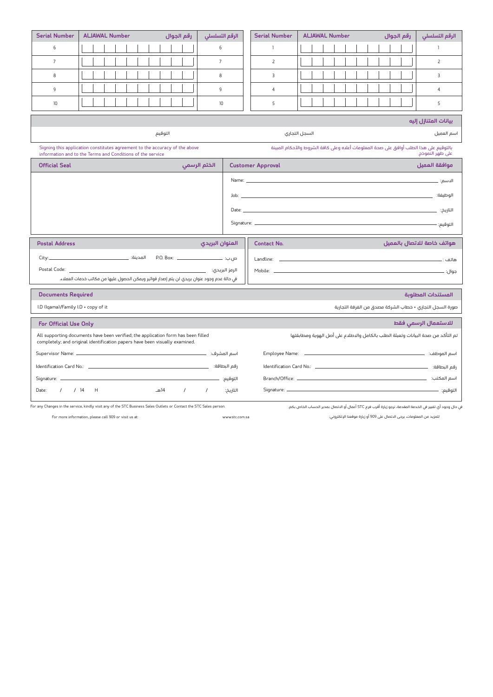| <b>Serial Number</b>                                                                                                                                                                                                                                 | <b>ALJAWAL Number</b>                                                                                                                                                                    | رقم الجوال         | الرقم التسلسلي |                                                  | <b>Serial Number</b> | <b>ALJAWAL Number</b> | رقم الجوال | الرقم التسلسلي |  |  |  |
|------------------------------------------------------------------------------------------------------------------------------------------------------------------------------------------------------------------------------------------------------|------------------------------------------------------------------------------------------------------------------------------------------------------------------------------------------|--------------------|----------------|--------------------------------------------------|----------------------|-----------------------|------------|----------------|--|--|--|
| 6                                                                                                                                                                                                                                                    |                                                                                                                                                                                          |                    | 6              |                                                  | $\mathbf{1}$         |                       |            | $\mathbf{1}$   |  |  |  |
| $7\overline{ }$                                                                                                                                                                                                                                      |                                                                                                                                                                                          |                    | $\overline{7}$ |                                                  | $\overline{2}$       |                       |            | $\overline{2}$ |  |  |  |
| 8                                                                                                                                                                                                                                                    |                                                                                                                                                                                          |                    | 8              |                                                  | 3                    |                       |            | 3              |  |  |  |
| 9                                                                                                                                                                                                                                                    |                                                                                                                                                                                          |                    | 9              |                                                  | $\overline{4}$       |                       |            | $\overline{4}$ |  |  |  |
| 10                                                                                                                                                                                                                                                   |                                                                                                                                                                                          |                    | 10             |                                                  | 5                    |                       |            | 5              |  |  |  |
| بيانات المتنازل إليه                                                                                                                                                                                                                                 |                                                                                                                                                                                          |                    |                |                                                  |                      |                       |            |                |  |  |  |
| التوقيم                                                                                                                                                                                                                                              |                                                                                                                                                                                          |                    |                | السجل التجارى<br>اسم العميل                      |                      |                       |            |                |  |  |  |
|                                                                                                                                                                                                                                                      | بالتوقيم على هذا الطلب أوافق على صحة المعلومات أعلاه وعلى كافة الشروط والأحكام المبينة<br>Signing this application constitutes agreement to the accuracy of the above<br>على ظهر النموذج |                    |                |                                                  |                      |                       |            |                |  |  |  |
| information and to the Terms and Conditions of the service<br><b>Official Seal</b><br>الختم الرسمي<br><b>Customer Approval</b>                                                                                                                       |                                                                                                                                                                                          |                    |                |                                                  |                      |                       |            | موافقة العميل  |  |  |  |
|                                                                                                                                                                                                                                                      |                                                                                                                                                                                          |                    |                |                                                  |                      |                       |            |                |  |  |  |
|                                                                                                                                                                                                                                                      |                                                                                                                                                                                          |                    |                |                                                  |                      |                       |            |                |  |  |  |
|                                                                                                                                                                                                                                                      |                                                                                                                                                                                          |                    |                |                                                  |                      |                       |            |                |  |  |  |
|                                                                                                                                                                                                                                                      |                                                                                                                                                                                          |                    |                |                                                  |                      |                       |            |                |  |  |  |
|                                                                                                                                                                                                                                                      | التوقيع: —                                                                                                                                                                               |                    |                |                                                  |                      |                       |            |                |  |  |  |
| العنوان البريدي<br><b>Postal Address</b>                                                                                                                                                                                                             |                                                                                                                                                                                          |                    |                | هواتف خاصة للاتصال بالعميل<br><b>Contact No.</b> |                      |                       |            |                |  |  |  |
|                                                                                                                                                                                                                                                      |                                                                                                                                                                                          |                    |                |                                                  |                      |                       |            |                |  |  |  |
|                                                                                                                                                                                                                                                      |                                                                                                                                                                                          |                    |                |                                                  |                      |                       |            |                |  |  |  |
| في حالة عدم وجود عنوان بريدي لن يتم إصدار فواتير ويمكن الحصول عليها من مكاتب خدمات العملاء.                                                                                                                                                          |                                                                                                                                                                                          |                    |                |                                                  |                      |                       |            |                |  |  |  |
| <b>Documents Required</b><br>المستندات المطلوبة                                                                                                                                                                                                      |                                                                                                                                                                                          |                    |                |                                                  |                      |                       |            |                |  |  |  |
| I.D (Iqama)/Family I.D + copy of it<br>صورة السجل التجاري + خطاب الشركة مصدق من الفرفة التجارية                                                                                                                                                      |                                                                                                                                                                                          |                    |                |                                                  |                      |                       |            |                |  |  |  |
| للاستعمال الرسمى فقط<br>For Official Use Only                                                                                                                                                                                                        |                                                                                                                                                                                          |                    |                |                                                  |                      |                       |            |                |  |  |  |
| تم التأكد من صحة البيانات وتعبئة الطلب بالكامل والاطلاع على أصل الهوية ومطابقتها<br>All supporting documents have been verified; the application form has been filled<br>completely; and original identification papers have been visually examined. |                                                                                                                                                                                          |                    |                |                                                  |                      |                       |            |                |  |  |  |
|                                                                                                                                                                                                                                                      |                                                                                                                                                                                          |                    |                |                                                  |                      |                       |            |                |  |  |  |
|                                                                                                                                                                                                                                                      |                                                                                                                                                                                          |                    |                |                                                  |                      |                       |            |                |  |  |  |
| Signature: __                                                                                                                                                                                                                                        |                                                                                                                                                                                          |                    |                |                                                  |                      |                       |            |                |  |  |  |
| Date:                                                                                                                                                                                                                                                | $1/14$ H                                                                                                                                                                                 | 14هـ<br>$\sqrt{2}$ | $\sqrt{2}$     | التاريخ:                                         |                      |                       |            |                |  |  |  |

For any Changes in the service, kindly visit any of the STC Business Sales Outlets or Contact the STC Sales person.

يف حال وجود أي تغيير يف الخدمة المقدمة، نرجو زيارة أقرب فرع STC أعمال أو الاتصال بمدير الحساب الخاص بكم.

For more information, please call 909 or visit us at: www.stc.com.sa :الإلكتروني موقعنا زيارة أو 909 ىلع الاتصال يرجى ،المعلومات من للمزيد